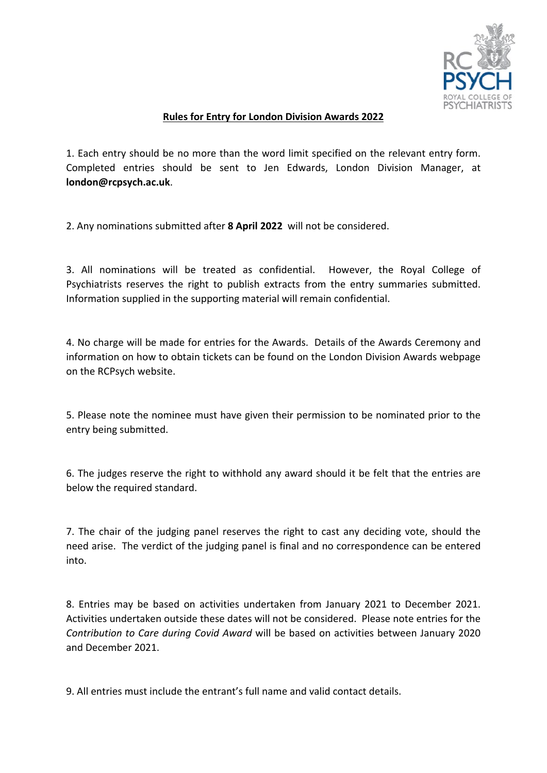

## **Rules for Entry for London Division Awards 2022**

1. Each entry should be no more than the word limit specified on the relevant entry form. Completed entries should be sent to Jen Edwards, London Division Manager, at **london@rcpsych.ac.uk**.

2. Any nominations submitted after **8 April 2022** will not be considered.

3. All nominations will be treated as confidential. However, the Royal College of Psychiatrists reserves the right to publish extracts from the entry summaries submitted. Information supplied in the supporting material will remain confidential.

4. No charge will be made for entries for the Awards. Details of the Awards Ceremony and information on how to obtain tickets can be found on the London Division Awards webpage on the RCPsych website.

5. Please note the nominee must have given their permission to be nominated prior to the entry being submitted.

6. The judges reserve the right to withhold any award should it be felt that the entries are below the required standard.

7. The chair of the judging panel reserves the right to cast any deciding vote, should the need arise. The verdict of the judging panel is final and no correspondence can be entered into.

8. Entries may be based on activities undertaken from January 2021 to December 2021. Activities undertaken outside these dates will not be considered. Please note entries for the *Contribution to Care during Covid Award* will be based on activities between January 2020 and December 2021.

9. All entries must include the entrant's full name and valid contact details.